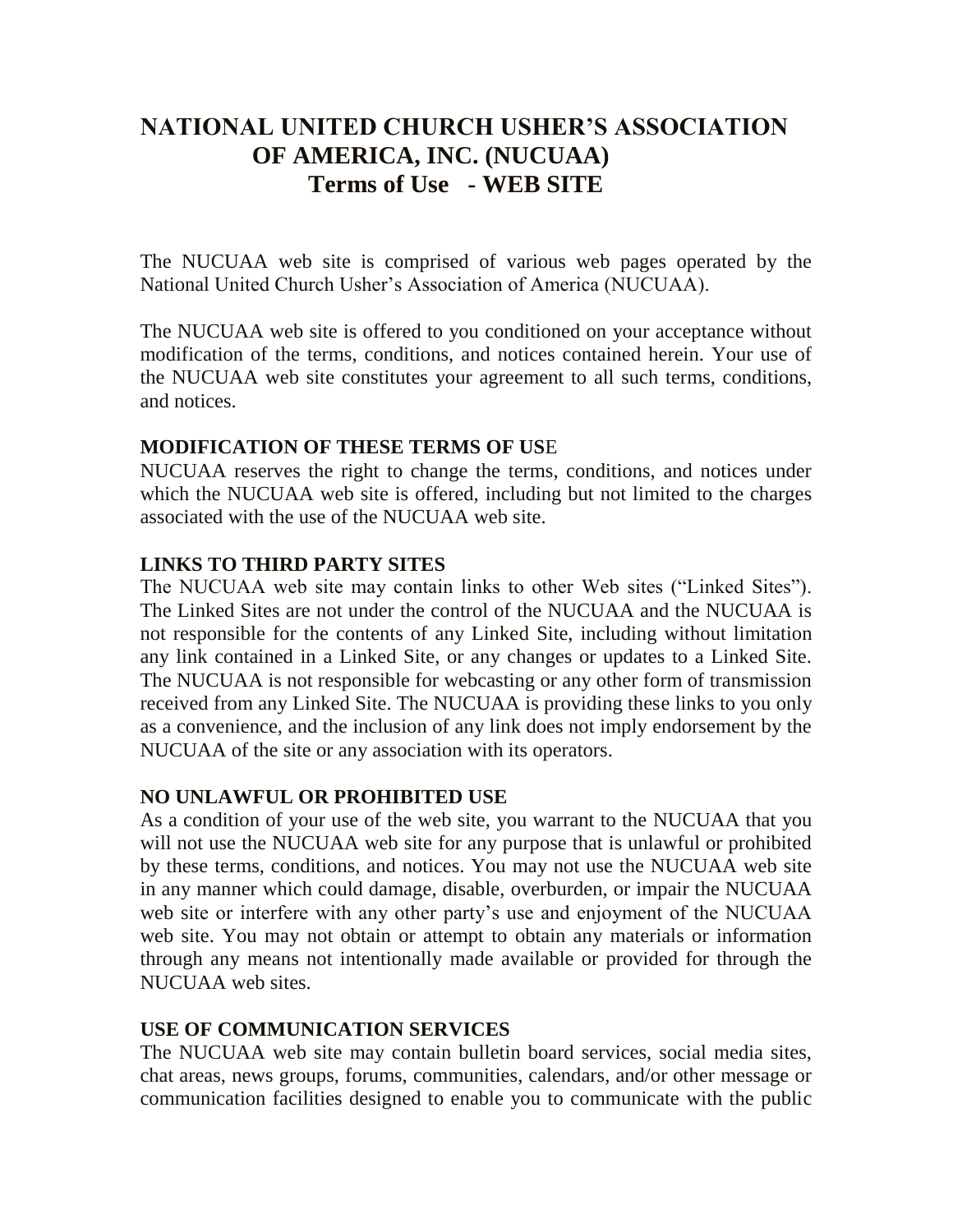# **NATIONAL UNITED CHURCH USHER'S ASSOCIATION OF AMERICA, INC. (NUCUAA) Terms of Use - WEB SITE**

The NUCUAA web site is comprised of various web pages operated by the National United Church Usher's Association of America (NUCUAA).

The NUCUAA web site is offered to you conditioned on your acceptance without modification of the terms, conditions, and notices contained herein. Your use of the NUCUAA web site constitutes your agreement to all such terms, conditions, and notices.

### **MODIFICATION OF THESE TERMS OF US**E

NUCUAA reserves the right to change the terms, conditions, and notices under which the NUCUAA web site is offered, including but not limited to the charges associated with the use of the NUCUAA web site.

### **LINKS TO THIRD PARTY SITES**

The NUCUAA web site may contain links to other Web sites ("Linked Sites"). The Linked Sites are not under the control of the NUCUAA and the NUCUAA is not responsible for the contents of any Linked Site, including without limitation any link contained in a Linked Site, or any changes or updates to a Linked Site. The NUCUAA is not responsible for webcasting or any other form of transmission received from any Linked Site. The NUCUAA is providing these links to you only as a convenience, and the inclusion of any link does not imply endorsement by the NUCUAA of the site or any association with its operators.

### **NO UNLAWFUL OR PROHIBITED USE**

As a condition of your use of the web site, you warrant to the NUCUAA that you will not use the NUCUAA web site for any purpose that is unlawful or prohibited by these terms, conditions, and notices. You may not use the NUCUAA web site in any manner which could damage, disable, overburden, or impair the NUCUAA web site or interfere with any other party's use and enjoyment of the NUCUAA web site. You may not obtain or attempt to obtain any materials or information through any means not intentionally made available or provided for through the NUCUAA web sites.

### **USE OF COMMUNICATION SERVICES**

The NUCUAA web site may contain bulletin board services, social media sites, chat areas, news groups, forums, communities, calendars, and/or other message or communication facilities designed to enable you to communicate with the public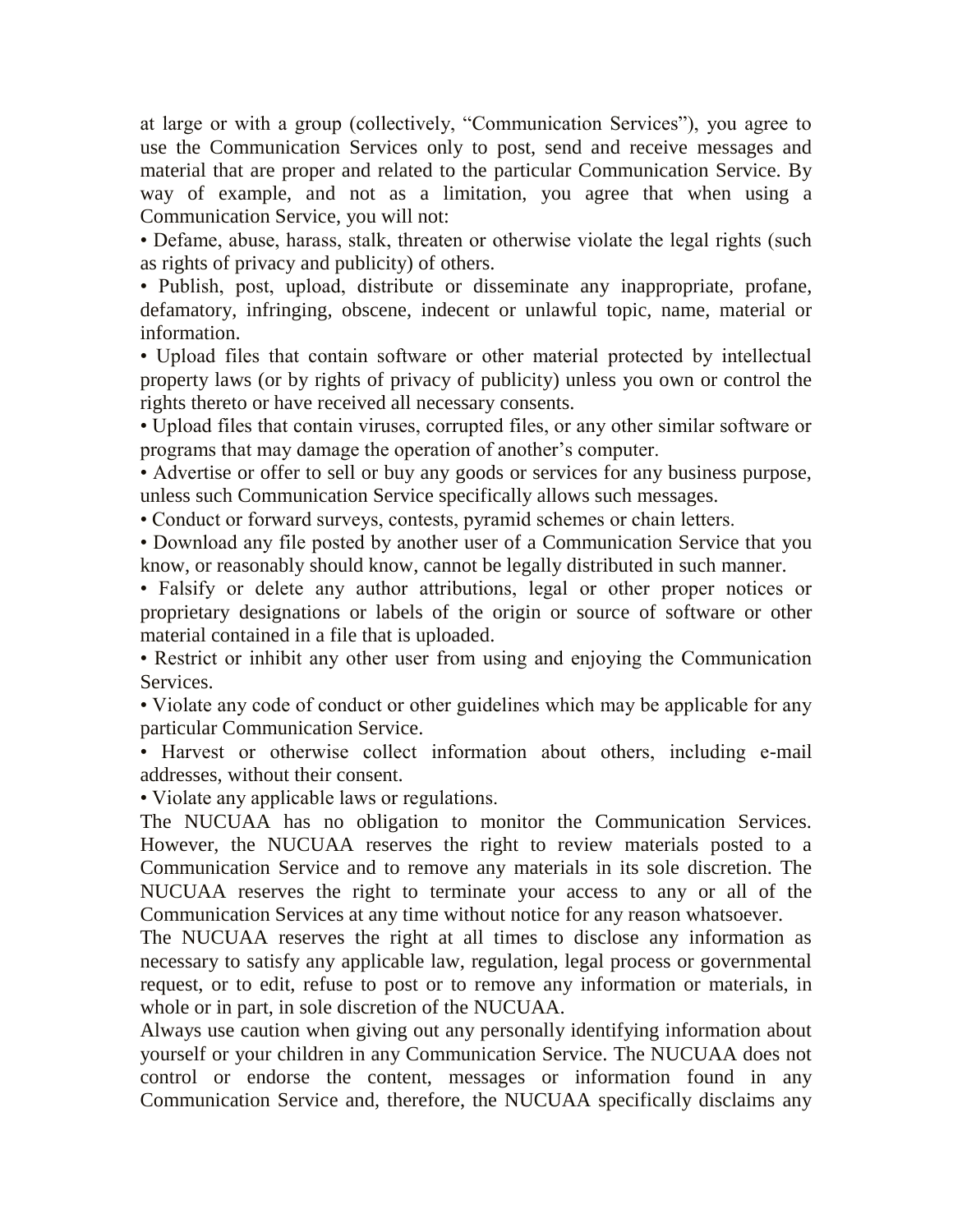at large or with a group (collectively, "Communication Services"), you agree to use the Communication Services only to post, send and receive messages and material that are proper and related to the particular Communication Service. By way of example, and not as a limitation, you agree that when using a Communication Service, you will not:

• Defame, abuse, harass, stalk, threaten or otherwise violate the legal rights (such as rights of privacy and publicity) of others.

• Publish, post, upload, distribute or disseminate any inappropriate, profane, defamatory, infringing, obscene, indecent or unlawful topic, name, material or information.

• Upload files that contain software or other material protected by intellectual property laws (or by rights of privacy of publicity) unless you own or control the rights thereto or have received all necessary consents.

• Upload files that contain viruses, corrupted files, or any other similar software or programs that may damage the operation of another's computer.

• Advertise or offer to sell or buy any goods or services for any business purpose, unless such Communication Service specifically allows such messages.

• Conduct or forward surveys, contests, pyramid schemes or chain letters.

• Download any file posted by another user of a Communication Service that you know, or reasonably should know, cannot be legally distributed in such manner.

• Falsify or delete any author attributions, legal or other proper notices or proprietary designations or labels of the origin or source of software or other material contained in a file that is uploaded.

• Restrict or inhibit any other user from using and enjoying the Communication Services.

• Violate any code of conduct or other guidelines which may be applicable for any particular Communication Service.

• Harvest or otherwise collect information about others, including e-mail addresses, without their consent.

• Violate any applicable laws or regulations.

The NUCUAA has no obligation to monitor the Communication Services. However, the NUCUAA reserves the right to review materials posted to a Communication Service and to remove any materials in its sole discretion. The NUCUAA reserves the right to terminate your access to any or all of the Communication Services at any time without notice for any reason whatsoever.

The NUCUAA reserves the right at all times to disclose any information as necessary to satisfy any applicable law, regulation, legal process or governmental request, or to edit, refuse to post or to remove any information or materials, in whole or in part, in sole discretion of the NUCUAA.

Always use caution when giving out any personally identifying information about yourself or your children in any Communication Service. The NUCUAA does not control or endorse the content, messages or information found in any Communication Service and, therefore, the NUCUAA specifically disclaims any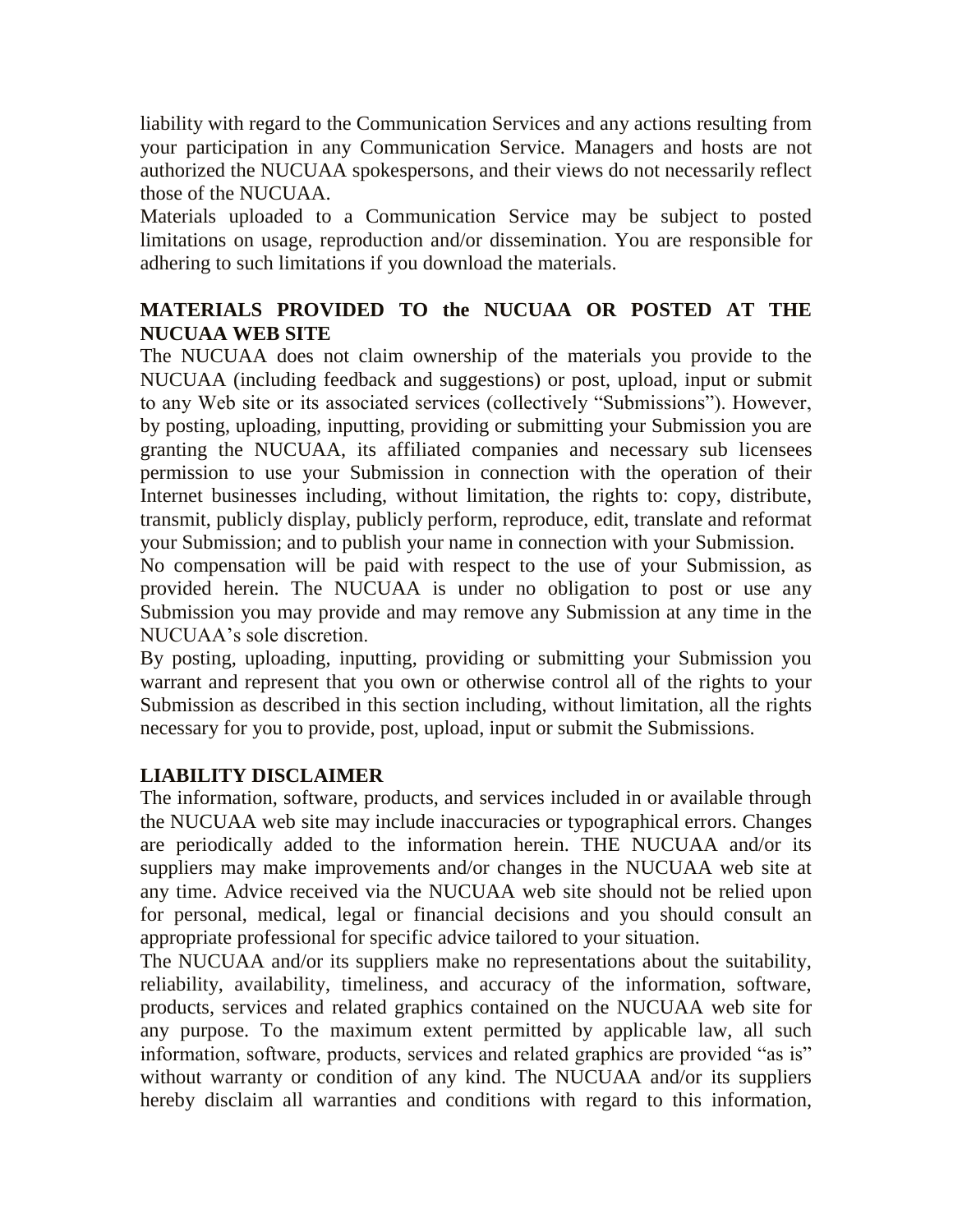liability with regard to the Communication Services and any actions resulting from your participation in any Communication Service. Managers and hosts are not authorized the NUCUAA spokespersons, and their views do not necessarily reflect those of the NUCUAA.

Materials uploaded to a Communication Service may be subject to posted limitations on usage, reproduction and/or dissemination. You are responsible for adhering to such limitations if you download the materials.

# **MATERIALS PROVIDED TO the NUCUAA OR POSTED AT THE NUCUAA WEB SITE**

The NUCUAA does not claim ownership of the materials you provide to the NUCUAA (including feedback and suggestions) or post, upload, input or submit to any Web site or its associated services (collectively "Submissions"). However, by posting, uploading, inputting, providing or submitting your Submission you are granting the NUCUAA, its affiliated companies and necessary sub licensees permission to use your Submission in connection with the operation of their Internet businesses including, without limitation, the rights to: copy, distribute, transmit, publicly display, publicly perform, reproduce, edit, translate and reformat your Submission; and to publish your name in connection with your Submission.

No compensation will be paid with respect to the use of your Submission, as provided herein. The NUCUAA is under no obligation to post or use any Submission you may provide and may remove any Submission at any time in the NUCUAA's sole discretion.

By posting, uploading, inputting, providing or submitting your Submission you warrant and represent that you own or otherwise control all of the rights to your Submission as described in this section including, without limitation, all the rights necessary for you to provide, post, upload, input or submit the Submissions.

## **LIABILITY DISCLAIMER**

The information, software, products, and services included in or available through the NUCUAA web site may include inaccuracies or typographical errors. Changes are periodically added to the information herein. THE NUCUAA and/or its suppliers may make improvements and/or changes in the NUCUAA web site at any time. Advice received via the NUCUAA web site should not be relied upon for personal, medical, legal or financial decisions and you should consult an appropriate professional for specific advice tailored to your situation.

The NUCUAA and/or its suppliers make no representations about the suitability, reliability, availability, timeliness, and accuracy of the information, software, products, services and related graphics contained on the NUCUAA web site for any purpose. To the maximum extent permitted by applicable law, all such information, software, products, services and related graphics are provided "as is" without warranty or condition of any kind. The NUCUAA and/or its suppliers hereby disclaim all warranties and conditions with regard to this information,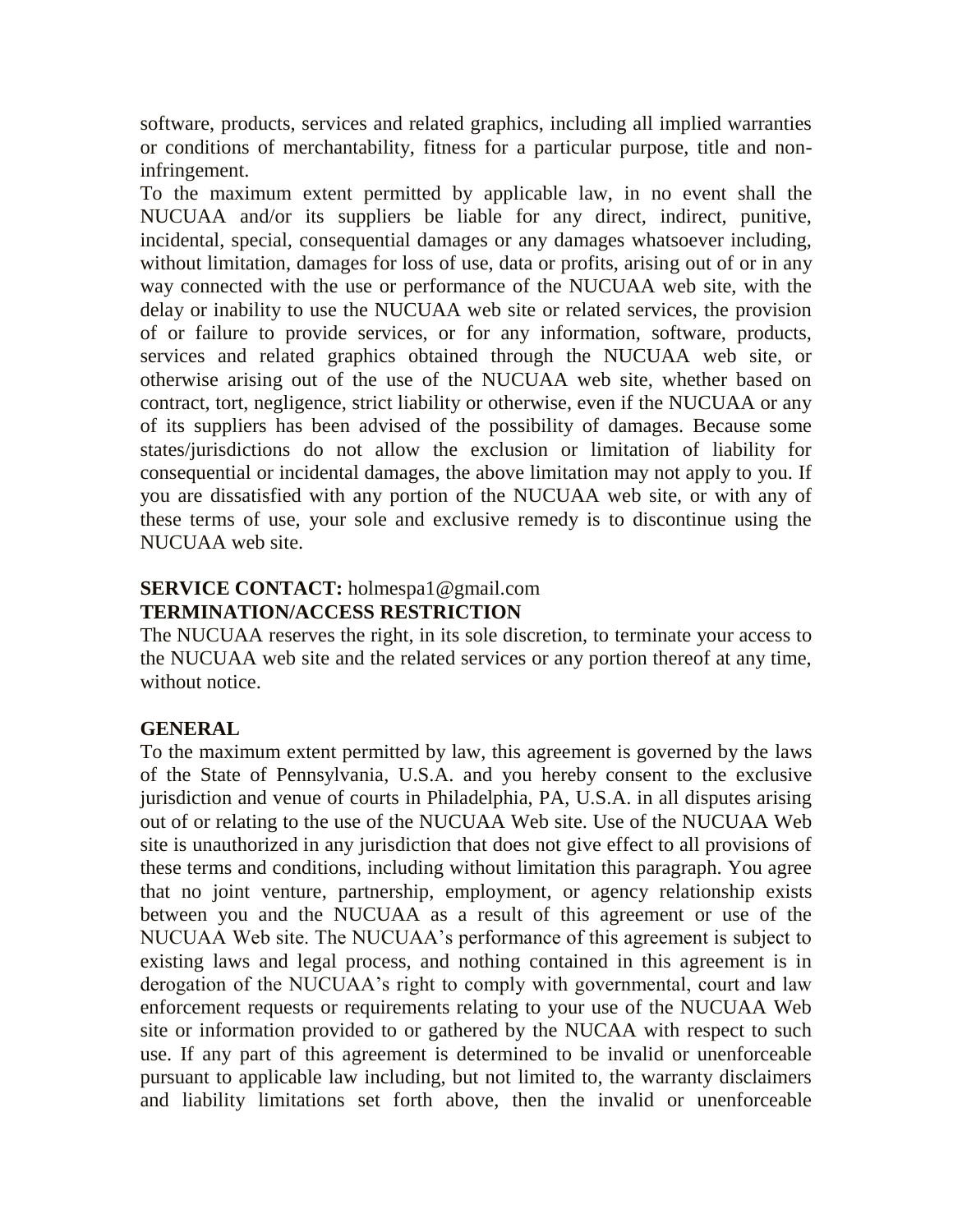software, products, services and related graphics, including all implied warranties or conditions of merchantability, fitness for a particular purpose, title and noninfringement.

To the maximum extent permitted by applicable law, in no event shall the NUCUAA and/or its suppliers be liable for any direct, indirect, punitive, incidental, special, consequential damages or any damages whatsoever including, without limitation, damages for loss of use, data or profits, arising out of or in any way connected with the use or performance of the NUCUAA web site, with the delay or inability to use the NUCUAA web site or related services, the provision of or failure to provide services, or for any information, software, products, services and related graphics obtained through the NUCUAA web site, or otherwise arising out of the use of the NUCUAA web site, whether based on contract, tort, negligence, strict liability or otherwise, even if the NUCUAA or any of its suppliers has been advised of the possibility of damages. Because some states/jurisdictions do not allow the exclusion or limitation of liability for consequential or incidental damages, the above limitation may not apply to you. If you are dissatisfied with any portion of the NUCUAA web site, or with any of these terms of use, your sole and exclusive remedy is to discontinue using the NUCUAA web site.

### **SERVICE CONTACT:** holmespa1@gmail.com **TERMINATION/ACCESS RESTRICTION**

The NUCUAA reserves the right, in its sole discretion, to terminate your access to the NUCUAA web site and the related services or any portion thereof at any time, without notice.

## **GENERAL**

To the maximum extent permitted by law, this agreement is governed by the laws of the State of Pennsylvania, U.S.A. and you hereby consent to the exclusive jurisdiction and venue of courts in Philadelphia, PA, U.S.A. in all disputes arising out of or relating to the use of the NUCUAA Web site. Use of the NUCUAA Web site is unauthorized in any jurisdiction that does not give effect to all provisions of these terms and conditions, including without limitation this paragraph. You agree that no joint venture, partnership, employment, or agency relationship exists between you and the NUCUAA as a result of this agreement or use of the NUCUAA Web site. The NUCUAA's performance of this agreement is subject to existing laws and legal process, and nothing contained in this agreement is in derogation of the NUCUAA's right to comply with governmental, court and law enforcement requests or requirements relating to your use of the NUCUAA Web site or information provided to or gathered by the NUCAA with respect to such use. If any part of this agreement is determined to be invalid or unenforceable pursuant to applicable law including, but not limited to, the warranty disclaimers and liability limitations set forth above, then the invalid or unenforceable